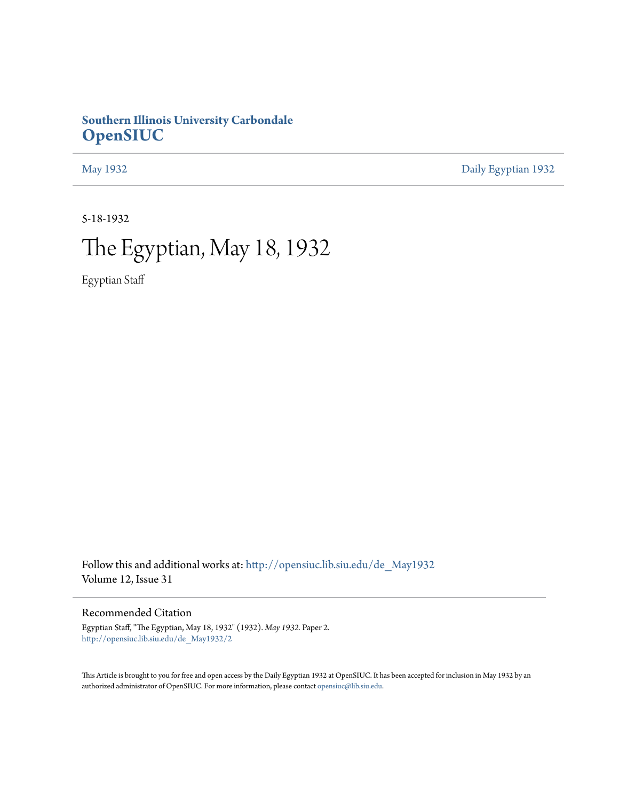## **Southern Illinois University Carbondale [OpenSIUC](http://opensiuc.lib.siu.edu?utm_source=opensiuc.lib.siu.edu%2Fde_May1932%2F2&utm_medium=PDF&utm_campaign=PDFCoverPages)**

[May 1932](http://opensiuc.lib.siu.edu/de_May1932?utm_source=opensiuc.lib.siu.edu%2Fde_May1932%2F2&utm_medium=PDF&utm_campaign=PDFCoverPages) [Daily Egyptian 1932](http://opensiuc.lib.siu.edu/de_1932?utm_source=opensiuc.lib.siu.edu%2Fde_May1932%2F2&utm_medium=PDF&utm_campaign=PDFCoverPages)

5-18-1932

# The Egyptian, May 18, 1932

Egyptian Staff

Follow this and additional works at: [http://opensiuc.lib.siu.edu/de\\_May1932](http://opensiuc.lib.siu.edu/de_May1932?utm_source=opensiuc.lib.siu.edu%2Fde_May1932%2F2&utm_medium=PDF&utm_campaign=PDFCoverPages) Volume 12, Issue 31

Recommended Citation

Egyptian Staff, "The Egyptian, May 18, 1932" (1932). *May 1932.* Paper 2. [http://opensiuc.lib.siu.edu/de\\_May1932/2](http://opensiuc.lib.siu.edu/de_May1932/2?utm_source=opensiuc.lib.siu.edu%2Fde_May1932%2F2&utm_medium=PDF&utm_campaign=PDFCoverPages)

This Article is brought to you for free and open access by the Daily Egyptian 1932 at OpenSIUC. It has been accepted for inclusion in May 1932 by an authorized administrator of OpenSIUC. For more information, please contact [opensiuc@lib.siu.edu](mailto:opensiuc@lib.siu.edu).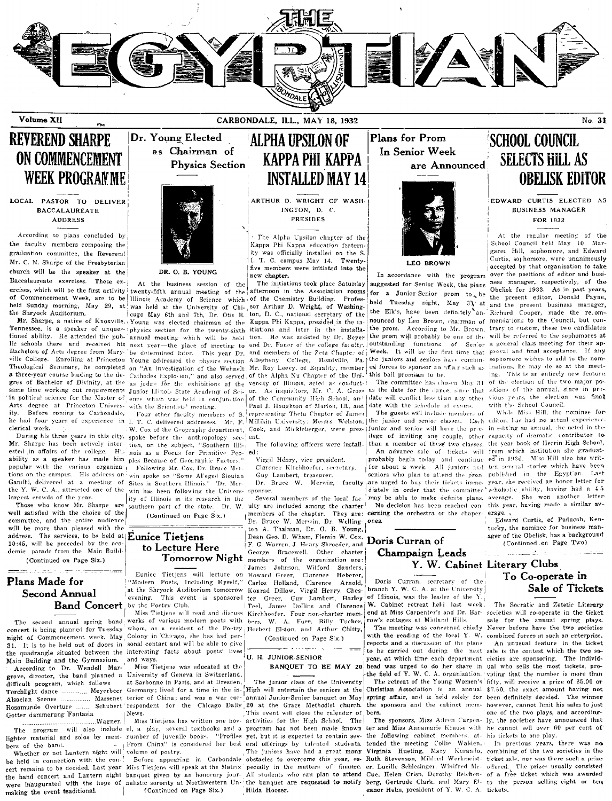

Volume XII

CARBONDALE, ILL., MAY 18, 1932

## **REVEREND SHARPE ON COMMENCEMENT WEEK PROGRAMME**

LOCAL PASTOR TO DELIVER **BACCALAUREATE ADDRESS** 

According to plans concluded by the faculty members composing the graduation committee, the Reverend Mr. C. N. Sharpe of the Presbyterian church will be the speaker at the Baccalaureate exercises. These exercises, which will be the first activity twenty-fifth annual meeting of the afternoon in the Association rooms of Commencement Week, are to be Illinois Academy of Science which of the Chemistry Building. held Sunday morning, May 29, at was held at the University of Chi, sor Arthur D. Wright, of Washingthe Shryock Auditorium.

Tennessee, is a speaker of unques- physics section for the twenty-sixth tioned ability. He attended the pub- annual meeting which will be held tion. He was assisted by Dr. Beyer lic schools there and received his next year-the place of meeting to and Dr. Faner of the college faculty. Bachelors of Arts degree from Maryville College. Enrolling at Princeton Young addressed the physics section Theological Seminary, he completed on "An Investigation of the Wehnelt a three-year course leading to the de- Cathodes Explosion," and also served gree of Bachelor of Divinity, at the in political science for the Master of ence which was held in conjunction of the Community High School, and date will conflict less than any other Arts degree at Princeton Universitv. Before coming to Carbondale, he had four years of experience in clerical work.

Mr. Sharpe has been actively inter- tion, on the subject, "Southern Illiested in affairs of the college. His nois as a Focus for Primitive Peoability as a speaker has made him ples Because of Geographic Factors.' popular with the various organizations on the campus. His address on Gandhi, delivered at a meeting of Sites in Southern Illinois.' 'Dr. Merthe Y. W. C. A., attracted one of the largest crowds of the year.

Those who know Mr. Sharpe are well satisfied with the choice of the committee, and the entire audience will be more than pleased with the address. The services, to be held at Eunice Tietjens 10:45, will be preceded by the aca demic parade from the Main Build (Continued on Page Six.)

## كالمتصدر بالمدام الما

## Plans Made for Second Annual

concert is being planned for Tuesday night of Commencement week, May Colony in Chicago, she has had per-31 It is to be held out of doors in the quadrangle situated between the interesting facts about poets' lives Main Building and the Gymnasium. and ways According to Dr. Wendell Mar-

| grave, director, the band planned a |
|-------------------------------------|
| difficult program, which follows    |
| Torchlight dance  Meyerbeer         |
| Alsacian Scenes  Massenet           |
| Rosamunde Overture  Schubert        |
| Gotter dammerung Fantasia           |
| <b>Wagner</b> ,                     |

bers of the band.

Whether or not Lantern night will volume of poetry. be held in connection with the conmaking the event traditional.



Dr. Young Elected

as Chairman of

DR. O. B. YOUNG

At the business session of the cago May 6th and 7th, Dr. Otis B. Mr. Sharpe, a native of Knoxville, Young was elected chairman of the be determined later. This year Dr. with the Scientists' meeting.

Four other faculty members of S T. C. delivered addresses. Mr. F. W. Cox of the Geography department, During his three years in this city. spoke before the anthropology sec-Following Mr. Cox, Dr. Bruce Merwin spoke on "Some Al'eged Siouian win has been following the University of Illinois in its research in the

southern part of the state. Dr. W. (Continued on Page Six.)

## to Lecture Here **Tomorrow Night**

Eunice Tietjens will lecture "Modern Poets, Including Myself," at the Shryock Auditorium tomorrow evening. This event is sponsored Band Concert by the Poetry Club.

The second annual spring band works of various modern poets with sonal contact and will be able to give

> Miss Tietiens was educated at the University of Geneva in Switzerland, at Sarbonne in Paris, and at Dresden. News.

> From China" is considered her best

## **ALPHA UPSILON OF** КАРРА РНІ КАРРА **INSTALLED MAY 14**

ARTHUR D. WRIGHT OF WASH INCTON, D. C. **PRESIDES** 

The Alpha Upsilon chapter of the Kappa Phi Kappa education fraternity was officially installed on the S.<br>I. T. C. campus May 14. Twentyfive members were initiated into the new chapter.

The initiations took place Saturday Profeston, D. C., national secretary of the Kappa Phi Kappa, presided in the initiations and later in the installaand members of the Zeta Chanter of Mr. Roy Leevy, of Equality, member of the Alpha Nu Chapter of the Unias judge for the exhibitions of the versity of Illinois, acted as conductsame time working out requirements Junior Illinois State Academy of Sci- or. As inquisitors, Mr. C. A. Gross as the date for the dance, since that Paul J. Houghton of Marion, Ill., and representing Theta Chapter of James Cook, and Mickleberger, were present.

The following officers were installed:

Virgil Henry, vice president. Clarence Kirchhoefer, secretary.

Guy Lambert, treasurer.

Dr. Bruce W. Merwin, faculty sponsor.

Several members of the local faculty are included among the charter members of the chapter. They are: cerning the orchestra or the chaper-Dr. Bruce W. Merwin, Dr. Welling- ones. ton A. Thalman, Dr. O. B. Young, Dean Geo. D. Wham, Flemin W. Cox, Doris Curran of F. G. Warren, J. Henry Shroeder, and Doris Curran of George Bracewell. Other charter members of the organization are: James Johnson, Wilford Sanders, Carlos Holland, Clarence Arnold, Konrad Dillow, Virgil Henry, Ches-Greer, Guy Lambert, Harley ter Miss Tietjens will read and discuss Kirchhoefer. Four non-charter members. W. A. Furr. Billy Tucker. whom, as a resident of the Poetry Herbert Elston, and Arthur Chitty,

> (Continued on Page Six.) الروابه ومعاونه والمناسب U. H. JUNIOR-SENIOR

#### **BANQUET TO BE MAY 20**

The junior class of the University Germany; lived for a time in the in-[High will entertain the seniors at the Christian Association is an annual terior of China; and was a war cor-<br>terior of China; and was a war cor-annual Junior-Senior banquet on May spri respondent for the Chicago Daily 20 at the Grace Methodist church. This event will close the calendar of bers. Miss Tietjens has written one nov- activities for the High School. The The juniors have had a great many Before appearing in Carbondale obstacles to overcome this year, escert remains to be decided. Last year Miss Tietjens will speak at the Matrix pecially in the matters of finance. were inaugurated with the hope of nalistic soverity at Northwestern Un-the banquet are requested to notify berg, Gertrude Clark, and Mary E1- to the person selling eight or tendent and magnetic society at Northwestern Un-t

Plans for Prom In Senior Week are Announced



**LEO RROWN** 

In accordance with the program suggested for Senior Week, the plans for a Junior-Senior prom to be held Tuesday night, May 31 at and the present business manager, the Elk's, have been definitely an- Richard Cooper, made the re.omnounced by Leo Brown, chairman of mendations to the Council, but conthe prom. According to Mr. Brown, trary to custom, these two candidates the prom will probably be one of the outstanding functions of Senior Week. It will be the first time that proval and final acceptance. If any Allegheny College, Meadville, Pa. the juniors and seniors have combined sophomore wishes to add to the nomed forces to sponsor an uffa.r such as this ball promines to be.

> The committee has chosen May 31 date with the schedule of exams.

The guests will include members of Millikin University; Messrs, Wolston, the junior and senior classes. Each editor, has had no actual experience junior and senior will have the priv- in editing an annual, the acted in the lege of inviting one couple, other capacity of dramatic contributor to than a member of these two classes. An advance sale of tickets will from which institution she graduatprobably begin today and continue for about a week. All juniors and seniors who plan to attend the pron. are urged to buy their tickets immediately in order that the committee may be able to make definite plans. No decision has been reached con-

## Champaign Leads Y. W. Cabinet Literary Clubs

Doris Curran, secretary of the branch Y. W. C. A. at the University of Illinois, was the leader of the Y Teel, James Dollins and Clarence W. Cabinet retreat held last week end at Miss Carpenter's and Dr. Bar- societies will co-operate in the ticket row's cottages at Midland Hills.

The meeting was concerned chiefly with the reading of the local Y. W. reports and a discussion of the plans to be carried out during the next sale is the contest which the two sovear, at which time each department cieties are sponsoring. The individhead was urged to do her share in the field of Y. W. C. A. organization. The retreat of the Young Women's the sponsors and the cabinet mem-

The program will also include el, a play, several textbooks and a program has not been made known ter and Miss Annamarie Krause with he cannot sell over 60 per cent of lighter material and solos by mem- number of juvenile eral offerings by talented students, tended the meeting Collie Walden, Virginia Hueting, Ruth Stevenson, Mildred Werkmeist- ticket sale, nor was there such a prize er. Lucille Schlesinger. Winifred Mc- offered. The prizes usually consisted the band concert and Lantern night banquet given by an honorary jour- All students who can plan to attend Cue. Helen Crisn, Dorothy Reichen- of a free ticket which was awarded

## **SCHOOL COUNCIL SELECTS HILL AS OBELISK EDITOR**

No. 31

#### EDWARD CURTIS ELECTED AS **BUSINESS MANAGER**

FOR 1933

At the regular meeting of the School Council held May 10, Margaret Hill, sophomore, and Edward Curtis, so homore, were unanimously accepted by that organization to take over the positions of editor and business manager, respectively, of the Obelisk for 1933. As in past years, the present editor. Donald Payne. will be referred to the sophomores at a general class meeting for their apinations, he may do so at the meeting. This is an entirely new feature of the election of the two major positions of the annual, since in previous years, the election was final with the School Council.

While Miss Hill, the nominee forthe vear book of Herrin High School, ed in 1930. Miss Hill also has written several stories which have been published in the Egypt'an. Last year, she received an honor letter for scholastic ability, having had a 4.5 average. She won another letter this year, having made a similar average.

Edward Curtis, of Paducah, Kentucky, the nominee for business manager of the Obelisk, has a background (Continued on Page Two)

 $\frac{1}{2}$  and  $\frac{1}{2}$  and  $\frac{1}{2}$ 

## To Co-operate in Sale of Tickets

The Socratic and Zetetic Literary sale for the annual spring plays. Never before have the two societies combined forces in such an enterprise.

An unusual feature in the ticket ual who sells the most tickets, providing that the number is more than fifty, will receive a prize of \$5.00 or \$7.50, the exact amount having not been definitely decided. The winner however, cannot limit his sales to just one of the two plays, and according-The sponsors, Miss Aileen Carpen- ly, the societies have announced that

In previous years, there was no Mary Korando, combining of the two societies in the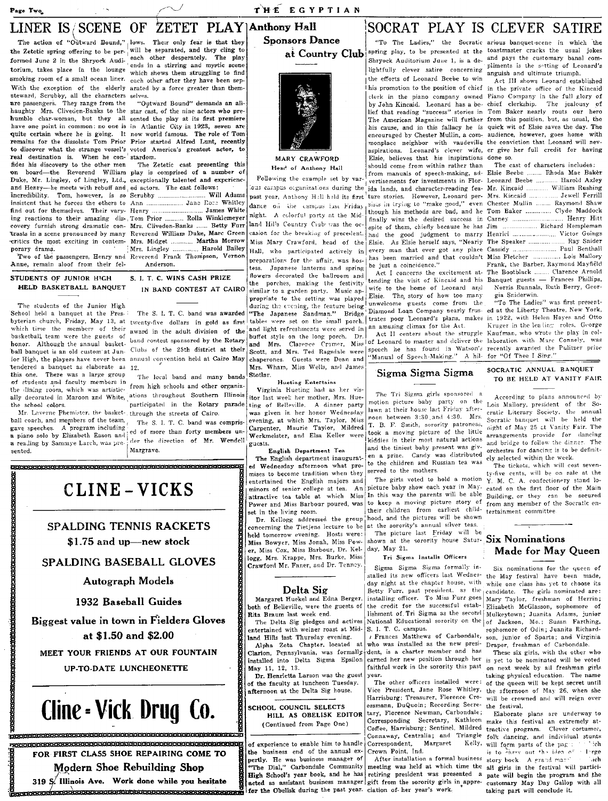#### Page Two

### THE EGYPTIAN

## LINER IS/SCENE OF ZETET PLAY | Anthony Hall **Sponsors Dance**

the Zetetic spring offering to be per- will be separated, and they cling to formed June 2 in the Shryock Audi-each other desperately. The play torium, takes place in the lounge enus in a surring sing to find<br>torium, takes place in the lounge which shows them struggling to find smoking room of a small ocean liner. each other after they have been sep-With the exception of the elderly arated by a force greater than them steward, Scrubby, all the characters selves. are passengers. They range from the "Outward Bound" demands an all-haughty Mrs. Cliveden-Banks to the star cast, of the nine actors who prehumble char-woman, but they all sented the play at its first premiere have one point in common: no one is in Atlantic City in 1923, seven are quite certain where he is going. It now world famous. The role of Tom remains for the dissolate Tom Prior Prior started Alfred Lunt, recently to discover what the strange vessel's voted America's greatest actor, to real destination is. When he con- stardom. fides his discovery to the other men on Duke, Mr. Lingley, of Lingley, Ltd., exceptionally talented and experiencand Henry-he meets with rebuff and ed actors. The cast follows: incredibility. Tom, however, is so Serubby ........................... Will Adams insistent that he forces the others to Ann ..................... Jane Roce Whitley find out for themselves. Their vary- Henry ing reactions to their amazing dis-, Tom Prior .......... Rolla Winklemeyer covery furnish strong dramatic con- Mrs. Cliveden-Banks ...... Betty Furr trasts in a scene pronounced by many Reverend William Duke, Marc Green

Anne, remain aloof from their fel-

porary drama.

STUDENTS OF JUNIOR HIGH HELD BASKETBALL BANQUET

The students of the Junior High School held a banquet at the Presbyterian church, Friday, May 13, at twenty-five dollars in gold as first which time the members of their basketball team were the guests of honor. Although the annual basketball banquet is an old custom at Jun- Clubs of the 25th district at their ior High, the players have never been annual convention held at Cairo May tendered a banquet as elaborate as 12. this one. There was a large group of students and faculty members in the dining room, which was artistically decorated in Marcon and White, ations throughout Southern Illinois the school colors.

Mr. Laverne Phemister, the basket- through the streets of Cairo. ball coach, and members of the team, gave speeches. A program including a piano solo by Elizabeth Eason and a reading by Sammye Larch, was presented.

The action of "Outward Bound," lows. Their only fear is that they ends in a stirring and mystic scene

"Outward Bound" demands an all-

The Zetetic cast presenting this board-the Reverend William play is comprised of a number of

James White . . . . . . . . . . . . . . . . . critics the most exciting in contem- Mrs. Midget ............ Martha Morrow Mrs. Lingley ....... .... Harold Bailey Two of the passengers, Henry and Reverend Frank Thompson, Vernor Anderson.

> S. I. T. C. WINS CASH PRIZE IN BAND CONTEST AT CAIRO

> The S. I. T. C. band was awarded award in the adult division of the band contest sponsored by the Rotary

The local band and many bands from high schools and other organiz participated in the Rotary parade

The S. I. T. C. band was comprised of more than forty members under the direction of Mr. Wendell

guests English Department Tea

Stotlar.

The English department inaugurated Wednesday afternoon what promises to become tradition when they entertained the English majors and minors of senior college at tea. An Power and Miss Barbour poured, was set in the living room.

Dr. Kellogg addressed the group hood, and the pictures will be show<br>concerning the Tietjens lecture to be at the sorority's annual silver teas. held tomorrow evening. Hosts were: Miss Bowyer, Miss Jonah, Miss Power, Miss Cox, Miss Barbour, Dr. Kellogg, Mrs. Krappe, Mrs. Burke, Miss Crawford Mr. Faner, and Dr. Tenney

#### Delta Sig

Margaret Huekel and Edna Berger, both of Belleville, were the guests of Rita Braum last week end.

The Delta Sig pledges and actives entertained with weiner roast at Mid-

land Hills last Thursday evening. Alpha Zeta Chapter, located Clarion, Pennsylvania, was formally-

installed into Delta Sigma Epsilon May 11, 12, 13. Dr. Henrietta Larson was the guest

of the faculty at luncheon Tuesday. afternoon at the Delta Sig house.

SCHOOL COUNCIL SELECTS HILL AS OBELISK EDITOR (Continued from Page One)

of experience to enable him to handle the business end of the annual expertly. He was business manager of The Dial," Carbondale Community High School's year book, and he has acted as assistant business manager gift from the sorority girls in appre-

## SOCRAT PLAY IS CLEVER SATIRE



#### MARY CRAWFORD Head of Anthony Hall

Following the example set by vardance on the campus issu Friday night. A colorful narty at the Midland Hills Country Ciub was the occasion for the breaking of precedent. Miss Mary Crawford, head of the Hall, who participated actively in preparations for the affair, was hos-.<br>tess. Japanese lanterns and spring flowers decorated the ballroom and porches, making the festivity the similar to a garden party. Music appropriate to the setting was played during the evening, the feature being "The Japanese Sandman." Bridge and light refreshments were servd in buffet style on the long porch. Dr. and Mrs. Clarence Cramer, Miss

Scott, and Mrs. Ted Ragsdale were

chaperones. Guests were Dean and Mrs. Wham, Miss Wells, and James

Virginia Hueting had as her vis

ting of Belleville. A dinner party

## Hueting Entertains

lightfully clever satire concerning pliments is the softing of Leonard's the efforts of Leonard Beebe to win Elsie, believes that his inspirations done so. should come from within rather than vertisements for investments in Flor- Leonard Beebe ...... ous campus organizations during the ida lands, and character-reading fea- Mr. Kineaid. past year, Anthony Hall held its first ture stories. However, Leonard per- Mrs. Kincaid sists in trying to "make good," even finally wins the desired success in spite of them, chiefly because he has Jim has been married and that couldn't Miss Fletcher

be just a coincidence." Act I concerns the excitement atwife to the home of Leonard and Elsie. The, story of how too many unwelcome guests come from the Diamond Loan Company nearly frus- ed at the Liberty Theatre, New York, tables were set on the small porch. trates poor Leonard's plans, makes an amusing climax for the Act.

> of Leonard to master and deliver the laboration with Marc Connely, was speech he has found in Watson's "Manual of Speech-Making." A hil- for "Of Thee I Sing."

#### Sigma Sigma Sigma

The Tri Sigma girls sponsored itor last week her mother, Mrs. Huemotion picture baby party on the lawn at their house last Friday afterwas given in her honor Wednesday noon between 3:30 and 4:30. Mrs. evening, at which Mrs. Taylor, Miss T. B. F. Smith, sorority patroness, Carpenter, Maurie Taylor, Mildred took a moving picture of the little Werkmeister, and Elsa Keller were kiddies in their most natural actions and the tiniest baby present was given a prize. Candy was distributed to the children and Russian tea was served to the mothers.

The girls voted to hold a motion picture baby show each year in May. attractive tea table at which Miss In this way the parents will be able to keep a moving picture story of their children from earliest childhood, and the pictures will be shown

The picture last Friday will be shown at the sorority house Satur- Six Nominations day, May 21.

#### Tri Sigma Installs Officers

Sigma Sigma Sigma formally installed its new officers last Wednes- the May festival have been made, day night at the chapter house, with Betty Furr, past president, as the installing officer. To Miss Furr goes the credit for the successful establishment of Tri Sigma as the second National Educational sorority on the S. I. T. C. campus.

/ Frances Matthews of Carbondale, who was installed as the new president, is a charter member and has earned her new position through her faithful work in the sorority this past year.

The other officers installed were: Vice President, Jane Rose Whitley, the afternoon of May 26, when she Harrisburg; Treasurer, Florence Croessmann, DuQuoin; Recording Secretary, Florence Newman, Carbondale; Corresponding Secretary, Kathleen Coffee, Harrisburg; Sentinel, Mildred Connaway, Centralia; and Triangle Margaret Correspondent. Crown Point, Ind.

retiring president was presented a

"To The Ladies," the Socratic arious banquet-scene in which the at Country Club<sup>|spring play, to be presented at the toastmaster cracks the usual jokes</sup> Shryock Auditorium June 1, is a de- and pays the customary banal comanguish and ultimate triumph.

Act III shows Leonard established his promotion to the position of chief in the private office of the Kincaid clerk in the piano company owned Piano Company in the full glory of by John Kincaid. Leonard has a be- chief clerkship. The jealousy of lief that reading "success" stories in Tom Baker nearly routs our hero The American Magazine will further from this position, but, as usual, the his cause, and in this fallacy he is quick wit of Elsie saves the day. The encouraged by Chester Mullin, a com- audience, however, goes home with monplace neighbor with vaudeville the conviction that Leonard will nevaspirations. Leonard's clever wife, er give her full credit for having

The cast of characters includes: from manuals of speech-making, ad- Elsie Beebe ........ Rhoda Mae Baker .. Harold Axlev William Rushing Chester Mullin ....... Raymond Shaw though his methods are bad, and he Tom Baker .............. Clyde Maddock Henry Hitt Carney ............. .... Richard Hempleman every man that ever got any place Cassidy ........................ Paul Benthall ... Lois Mallory Frank, the Barber, Raymond Mayfield The Bootblack ........ Clarence Arnold tending the visit of Kincaid and his Banquet guests - Frances Phillips, Norris Runnals, Ruth Berry, Georgia Sniderwin.<br>"To The Ladies" was first present-

in 1922, with Helen Hayes and Otto Kruger in the leading roles. George Act II centers about the struggle Kaufman, who wrote the play in colrecently awarded the Pulitzer prize

> SOCRATIC ANNUAL BANQUET TO BE HELD AT VANITY FAIR

> According to plans announced by Lois Mallory, president of the Socratic Literary Society, the annual Socratic banquet will be held the night of May 25 at Vanity Fair. The arrangements provide for dancing and bridge to follow the dinner. The orchestra for dancing is to be definitely selected within the week.

The tickets, which will cost seventy-five cents, will be on sale at the Y. M. C. A. confectionery stand located on the first floor of the Main Building, or they can be secured from any member of the Socratic entertainment committee.

## Made for May Queen

Six nominations for the queen of while one class has yet to choose its candidate. The girls nominated are: Mary Taylor, freshman of Herrin; Elizabeth McGlasson, sophomore of Mulkeytown; Juanita Adams, junior of Jackson, Mo.; Susan Farthing, sophomore of Odin; Juanita Richardson, junior of Sparta; and Virginia Draper, freshman of Carbondale.

These six girls, with the other who is yet to be nominated will be voted on next week by all freshman girls taking physical education. The name of the queen will be kept secret until will be crowned and will reign over the festival.

Elaborate plans are underway to make this festival an extremely attractive program. Clever costumes, folk dancing, and individual stunts Kelly, will form parts of the page. ∵eh 1-rge After installation a formal business story bock. A grand many the line meeting was held at which time the all girls in the festival will participate will begin the program and the customary May Day Gallop with all taking part will conclude it.



# Cline - Vick Drug Co.

FREE STATISTICS IN THE CONTRACTOR OF THE CONTRACTOR OF THE CONTRACTOR FOR FIRST CLASS SHOE REPAIRING COME TO Modern Shoe Rebuilding Shop 319 S. Illinois Ave. Work done while you hesitate exerged assessed account the series of the obelisk during the past year. ciation of her year's work.

## Margrave. .<br>Beberenderbert bereicher Bereicher Bereicher Bereicher Bereicher Bereicher Bereicher Bereicher Bereiche CLINE-VICKS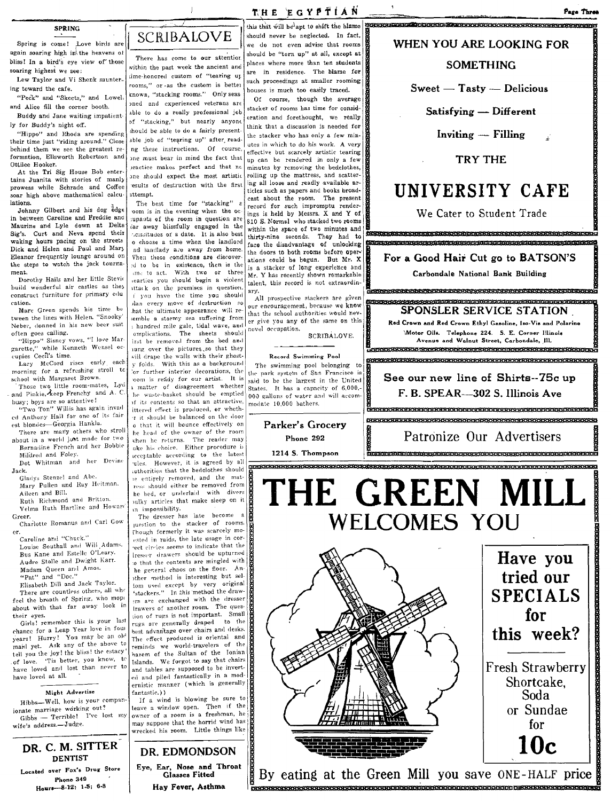#### **SPRING**

Spring is come! Love birds are again soaring high in\ the heavens 01 There has come to our attentior.<br>bliss! In a bird's eye view of those within the past week the ancient and

their time just "riding around." Close behind them we see the greatest reformation, Ellsworth Robertson and Ottilee Hooker.

At the Tri Sig House Bob enter· tains Juanita with stories of manly<br>prowess while Schrade and Coffee soar high above mathematical calcu-

lations.<br>Johnny Gilbert and his dog edge in between Caroline and Freddie and Maurine and Lyle down at Delta Sig's. Curt and Neva spend their waking hours pacing on the streets Dick and Helen and Paul and Mar) Eleanor frequgntly lounge around on the steps to watch the jack tournament.

Dorothy Hails and her little Stevie build wonderful air castles as they construct furniture for primary edu cation.

Marc Green spends his time be tween the lines with Helen. "Snooky' Neber, donned in his new beer suit often goes calling.

"Hippo" Sisney vows, "I love Margarette," while Kenneth Wensel oc-;upies 'Cecil's time.

Lacy McCord rises early each morning for a refreshing stroll tc school with Margaret Brown.

Those two little room-mates, Lyd and Pinkie, keep Frenchy and A. C. busy; boys are so attentive!

Two Ton" Willis has again invad ed Anthony Hall for one of its fair

est blondes-Georgia Hankla. There are many others who stroll about in a world just made for two Bernadine French and her Bobbie

Mildred and Foley. Dot Whitman and her Devine

Jack. Gladys Stenzel and Abe. Mary Pullen and Ray Heitman.

Aileen and Bill. Ruth Richmond and Britton. Velma Ruth Hartline and Howard

Greer. Charlotte Romanus and Carl Gow

cr. Caroline and "Chuck." Louise Southall and Will Adams. Bus Kane and Estelle O'Leary. Audre Stolle and Dwight Karr. Madam Queen and Amos. "Pat" and "Doc."

Elisabeth Dill and Jack Taylor. There are countless others, all who feel the breath of Spring, who mope about with that far away look in

their eyes. Girls! remember this is your last chance for a Leap Year love in foul years! Hurry! You may be an old makl yet. Ask any of the above to tell you the joy! the bliss! the estacy of love. 'Tis better, you know, to have loved and lost than never to have loved at alL

#### Might Advertise

Hibbs-Well, how is your companionate marriage working out? Gibbs - Terrible! I've lost my wife's address .- Judge.

DR. C. M. SITTER DENTIST

Located over Fox's Drug Store Phone 349 Houre-8.12, 1.5; 6-8



soaring highest we see:<br>I am The language of Wighest and Stight and the aminosted custom of "tearing up Lew Taylor and Vi Shenk saunter- dime-honored custom of "tearing up ing toward the cafe. rooms," or as the custom is bettel houses is much too easily traced. "Peck" and "Skeets," and Lowel. known, "stacking rooms." Only seas 0f course, though the average "Hippo" and Rhoda are spending should be able to do a fairly present-<br>eir time just "riding around." Close able job of "tearing up" after readng these instructions. Of course, )ne must bear in mind the fact that .>ractice makes perfect and that ne ane should expect the most artistic ·esults of destruction with the first 3.ttempt.

The best time for "stacking" oom is in the evening when the oc :upants of the room in question are iar away blissfully engaged in the heissitudes or a date. It is also best o choose a time when the landlord nd landlady are away from home. Vhen these conditions are discoverd to be in existence, then is the ;me to act. With two or three learties you should begin a violent ittack on the premises in question. <sup>I</sup>you have the time you should dan every move of destruction so hat the ultimate appearance will re- ;emble a stormy sea suffering from hundred mile gale, tidal wave, and omplications. The sheets should irst be removed from the bed and iung over the pictures, so that they will drape the walls with their ghost-<br>y folds. With this as a background 'or further interior decorations, the com is ready for our artist. It is 1 matter of disagreement whether he waste-basket should be emptied If its contents so that an attractive, ittered effect is produced, or wheth-·r It "hould be balanced on the door o that it will bounce effectively on he head of the owner of the room vhen he returns. The reader may ake his choice. Either procedure is icceptable according to the latest ules. However, it is agreed by all .uthorities that the bedclothes should le entirely removed, and the matress should either be removed from he bed, or underlaid with divers llliky articles that make sleep on it tn impossibility.

The dresser has late become luestion to the stacker of rooms. fhough formerly it was scarcely moested in raids, the late usage in cor-"ect circles seems to indicate that the lresser drawers should be upturned o that the contents are mingled with he general chaos on the floor. Anther method is interesting but seliom used except by very original<br>"stackers.'" In :his method the draw-:rs are exchanged with the dresser lrawers of another room. The ques-\ion of rug-s is not important. Small rugs are generally draped to the best advantage over chairs and desks. The effect produced is oriental and reminds we world-travelers of the harem of the Sultan of the Ionian Islands. We forgot to say that chairs and tables are supposed to be inverted and piled fantastically in a modernistic manner (which is generally fantastic.) }

If a wind is blowing be sure to leave a window open. Then if the owner of a room is a freshman, he may suppose that the horrid wind has wrecked his room. Little things like

## DR. EDMONDSON Eye, Ear, Nose and Throat

Glasses Fitted Hay Fever, Asthma this that will be apt to shift the blame should never be neglected. In fact, we do not even advise that rooms should be "torn up" at all, except at places where more than ten students are in residence. The blame for such proceedings at smaller rooming

THE EGYPTIAN

and Alice fill the corner booth.  $\left| \begin{array}{c} \text{and} \\ \text{and} \end{array} \right|$  experienced veterans are stacker of rooms has time for consid-<br>Builde and Jane multipediate in the total of the constanting intervals and the total of the c a Alice iii in the corner booth.<br>Buddy and Jane waiting impatient- able to do a really professional job stacker of rooms has time for considering the Satisfying - Different Iy for Buddy's night off.<br>  $\begin{bmatrix} \text{or} & \text{``stacking''} & \text{but nearly any any} \\ \text{should be able to do a fairly present.} \end{bmatrix}$ . think that a discussion is needed for the stacker who has only a few minutes in which to do his work. A very effective but scarcely artistic tearing up can be rendered in only a few minutes by removing the bedclothes, rolling up the mattress, and scattering all loose and readly available articles such as papers and books broad~ cast about the room. The present record for such impromptu renderings is held by Messrs. X and Y of 810 S. Normal who stacked two rooms within the space of two minutes and thirty-nine seconds. They had to face the disadvantage of unlocking the doors to both rooms before op<br>ations could be begun. But Mr. the doors to both rooms before oper-The does the disadvantage of unlocking **CEREBORE CONSTRUCTS AND THE CUT GOOD HAIR CUT GOOD HAIR CUT GOOD HAIR CUT GOOD HAIR SON'S**<br>https://www.com/dbabegun. But Mr. X **If For a Good Hair Cut go to BATSON'S** is a stacker of  $\begin{bmatrix} 1.5 & a \end{bmatrix}$  stacker of long experience and  $\begin{bmatrix} 1.6 & a \end{bmatrix}$   $\begin{bmatrix} a & b \end{bmatrix}$   $\begin{bmatrix} a & b \end{bmatrix}$   $\begin{bmatrix} a & b \end{bmatrix}$   $\begin{bmatrix} a & b \end{bmatrix}$   $\begin{bmatrix} a & b \end{bmatrix}$   $\begin{bmatrix} a & b \end{bmatrix}$   $\begin{bmatrix} a & b \end{bmatrix}$   $\begin{bmatrix} a & b \end{bmatrix}$   $\begin{$ talent, this record is not extraordin-

Au prospective stackers are given **on the contract of the contract of the school authorities we know.**<br>
that the school authorities would never **SPONSLER SERVICE STATION**<br>
er give you any of the same on this novel occupation. SCRIBALOVE.

States. It has a capacity of 6,000,-<br>000 gallons of water and will accom-<br>modate 10,000 bathers.



## .... SHHdHH4DQi\_ H\_ SHe a" WHEN YOU ARE LOOKING FOR

## **SOMETHING**

 $S<sub>weet</sub> - T<sub>astv</sub> - D<sub>elicious</sub>$ 

Inviting - Filling

#### TRY THE

## UNIVERSITY CAFE

We Cater to Student Trade

.<br>CERSISTATISCH EER FERIERISCH EER A ASTEROOF A AT ALLE FLAGHE EER A A ASTER

ary.<br>All: prospective stackers are given **and the proportion of the state of the stackers** are given

Red Crown and Red Crown Ethyl Gasoline, Iso-Vis and Polarine Motor Oils. Telephone 224. S. E. Corner Illinois Avenus and Walnut Street, Carbondale, Ill.

 $\epsilon$ procentification operative procentification and  $\epsilon$  factor  $\epsilon$ Record Swimming Pool (encere proceed of the swimming Pool delonging to  $\frac{1}{\mathbf{g}}$ 

tl]{' park syste'lJl of Sn.n FranCIScO IS S 1· £ Sh· 75 sa,d to be the largest In the United ee our new lne 0 lrts-- c up States. It has a capn(,lt~ of 6,000,- • •

CHHHhH HHgpeHHHpHHHhHHHAhHHHH9psHRHHP8PPHPHASVSWM"

£IlCI!1C!£:u:u:a:BXll:ll <sup>u</sup> IXlH eP:HHXI-I:Ill-"RXe \_lI:IInnnXll1t!l1t9it9nnoJ:u:u:a:1I:II9 aJ:D:u::o:u:&:P1!:&:IH KJ:o:H P1!:&:II1!:IE8;JU

Patronize Our Advertisers

I £99 <sup>E</sup>

THE GREEN MILL **WELCOMES YOU** Have you



tried our SPECIALS for this week? Fresh Strawberry Shortcake, Soda or Sundae for **tOe** 

By eating at the Green Mill you save ONE-HALF price 'AHE SE SEEHH HE SEEHH HE SEEHH HE SEEHHELT III NEU SEEHH HE SEEHHELT IN DIE SEEHHELT DIE BESONDER DIE BESONDE

ijansasa.<br>1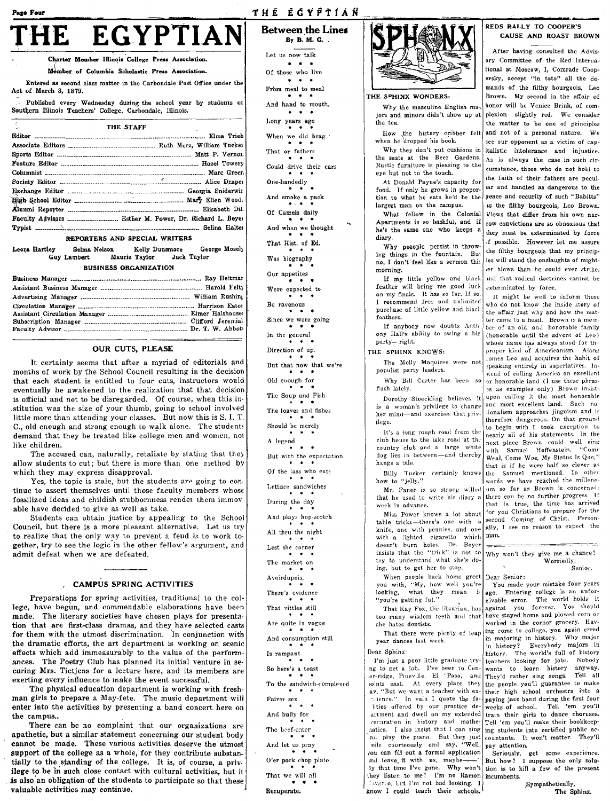#### Page Four

## **EGYPTIAN** THE

Charter Member Illinois College Press Association.

Member of Columbia Scholastic Press Association.

Entered as second class matter in the Carbondale Post Office under the Act of March 3. 1879.

Published every Wednesday during the school year by students of Southern Illinois Teachers' College, Carbondale, Illinois.

| $\sim$                                  | <b>THE STAFF</b> |  |
|-----------------------------------------|------------------|--|
|                                         |                  |  |
|                                         |                  |  |
|                                         |                  |  |
|                                         |                  |  |
|                                         |                  |  |
|                                         |                  |  |
|                                         |                  |  |
|                                         |                  |  |
|                                         |                  |  |
|                                         |                  |  |
|                                         |                  |  |
| <u>annanmona illo annalis illottiva</u> |                  |  |

#### REPORTERS AND SPECIAL WRITER!

Leora Hartley Selma Nelson Kelly Dunsmore George Mosely Guy Lambert Maurie Taylor Jack Taylor

#### **BUSINESS ORGANIZATION**

#### **OUR CUTS, PLEASE**

It certainly seems that after a myriad of editorials and months of work by the School Council resulting in the decision that each student is entitled to four cuts, instructors would eventually be awakened to the realization that that decision is official and not to be disregarded. Of course, when this institution was the size of your thumb, going to school involved little more than attending your classes. But now this is S. I. T. C., old enough and strong enough to walk alone. The students demand that they be treated like college men and women, not like children.

The accused can, naturally, retaliate by stating that they allow students to cut; but there is more than one method by which they may express disapproval.

Yes, the topic is stale, but the students are going to continue to assert themselves until those faculty members whose fossilized ideas and childish stubbornness render them immovable have decided to give as well as take.

Students can obtain justice by appealing to the School Council, but there is a more pleasant alternative. Let us try to realize that the only way to prevent a feud is to work together, try to see the logic in the other fellow's argument, and admit defeat when we are defeated.

#### , CAMPUS SPRING ACTIVITIES

Preparations for spring activities, traditional to the college, have begun, and commendable elaborations have been made. The literary societies have chosen plays for presentation that are first-class dramas, and they have selected casts for them with the utmost discrimination. In conjunction with the dramatic efforts, the art department is working on scenic effects which add immeasurably to the value of the performances. The Poetry Club has planned its initial venture in securing Mrs. Tietjens for a lecture here, and its members are exerting every influence to make the event successful.

The physical education department is working with freshman girls to prepare a May-fete. The music department will enter into the activities by presenting a band concert here on the campus...

There can be no complaint that our organizations are apathetic, but a similar statement concerning our student body cannot be made. These various activities deserve the utmost support of the college as a whole, for they contribute substantially to the standing of the college. It is, of course, a privilege to be in such close contact with cultural activities, but it is also an obligation of the students to participate so that these valuable activities may continue.

**Between the Lines**  $Bv$  B. M. G. Let us now talk  $\mathbf{A}$  and  $\mathbf{A}$ Of those who live  $\mathbf{z}$  and  $\mathbf{z}$ From meal to meal And hand to mouth.  $\mathbf{r}$   $\mathbf{r}$   $\mathbf{r}$ Long years ago When we did brag That or fathers Could drive their cars One-handedly And smoke a pack Of Camels daily And when we thought That Hist. of Ed. Was biography Our appetites Were expected to Be ravenous Since we were going In the general Direction of up. But that now that we're Old enough for The Soup and Fish The loaves and fishes Should be merely A legend  $\sim$ But with the expectation Of the lass who eats Lettuce sandwiches During the day And plays hop-scotch All thru the night Lest she corner The market on Avoirdupois, There's evidence That vittles still Are quite in vogue And consumption still Is rampant  $\blacksquare$ So here's a toast To the sandwich-complexed Fairer sex And bully for The beef-enter And let us pray O'er pork chop plate That we will all

Recuperate.

THE ECYPTIAN



#### THE SPHINX WONDERS:

Why the masculine English ma jors and minors didn't show up at the tea.

How the history cribber felt when he dropped his book.

Why they don't put cushions in the seats at the Beer Gardens. Rustic furniture is pleasing to the eye but not to the touch.

At Donald Payne's capacity for food. If only he grows in proportion to what he eats he'd be the largest man on the campus.

What fellow in the Colonial Apartments is so bashful, and if he's the same one who keeps a diary.

Why peeople persist in throwing things in the fountain. But no, I don't feel like a sermon this morning.

If my little yellow and black feather will bring me good luck on my finals. It has so far. If so. I recommend free and unlimited purchase of little yellow and black feathers.

If anybody now doubts Anth ony Hall's ability to swing a big party-right.

#### THE SPHINX KNOWS:

The Molly Maquires were not populist party leaders.

Why Bill Carter has been so flush lately.

Dorothy Stoeckling believes it is a woman's privilege to change her mind-and exercises that privilege.

It's a long rough road from the club house to the lake road at the country club and a large white dog lies in between-and thereby hangs a tale.

Billy Tucker certainly knows how to "jelly."

Mr. Faner is so strong willed that he used to write his diary a week in advance.

Miss Power knows a lot about table tricks-there's one with a knife, one with pennies, and one with a lighted cigarette which doesn't burn holes. Dr. Beyer وسيوس insists that the "trick" is not to try to understand what she's doing, but to get her to stop.

When people back home greet Dear Senior: you with, "My, how well you're looking, what they mean  $\mathbf i$ "you're getting fat."

That Kay Fox, the librarian, has too many wisdom teeth and that she hates dentists.

That there were plenty of leap year dances last week.

Dear Sphinx:

I'm just a poor little graduate try-'ng to get a job. I've been to Cener-ridge, Pineville, El 'Paso, and soints east. At every place they ay, "But we want a teacher with extrience." In vain I quote the falities offered by our practice deartment and dwell on my extended cenaration in history and mathenatics. I also insist that I can sing nd play the piano. But they just<br>nile courteously and say, "Well, you can fill out a formal application ind leave, it with us, maybely that time I've gone. Why won't they listen to me? I'm no Ramon incumbents. lavar.o, Lut I'm not bad looking. I know I could teach their schools,

#### REDS BALLY TO COOPER'S CAUSE AND ROAST BROWN

After having consulted the Advisory Committee of the Red International at Moscow, I, Comrade Coopersky, accept "in toto" all the demands of the filthy bourgeois, Leo Brown. My second in the affair of honor will be Venice Brink, of complexion slightly red. We consider the matter to be one of principles and not of a personal nature. We see our opponent as a victim of capitalistic intolerance and injustice. As is always the case in such circumstance, those who do not hold to the faith of their fathers are pecular and handled as dangerous to the peace and security of such "Babitts" as the filthy bourgeois, Leo Brown. Views that differ from his own narrow convictions are so obnoxious that they must be exterminated by force if possible. However let me assure the filthy bourgeois that my principles will stand the onslaughts of mighter blows than he could ever strike. and that radical doctrines cannot be exterminated by force.

It might be well to inform those who do not know the inside story of the affair just why and how the matter came to a head. Brown is a member of an old and bonorable family (honorable until the advent of Leo) whose name has always stood for the proper kind of Americanism. Along comes Leo and acquires the habit of speaking entirely in superlatives. Instead of calling America an excellent or honorable land (I use these phrasas as examples only) Brown insists upon calling it the most honorable and most excellent land. Such naionalism approaches jingoism and is therefore dangerous. On that ground to begin with I took exception to nearly all of his statements. In the next place Brown could well sing  $^{\circ}$ Come with Samuel Hoffenstein, Weal, Come Woe, My Status Is Quo," that is if he were half so clever as the Samuel mentioned. In other words we have reached the milleneum so far as Brown is concerned: there can be no further progress. If that is true, the time has arrived for you Christians to prepare for the second Coming of Christ. Personally, I see no reason to expect the man.

Why won't they give me a chance? Worriedly, Senior.

You made your mistake four years Entering college is an unforago. givable error. The world holds it against you forever. You should have stayed home and plowed corn or worked in the corner grocery. Having come to college, you again erred in majoring in history. Why major Everybody majors in in history? The world's full of history history. teachers looking for jobs. Nobody wants to learn history anyway. Tell all They'd rather sing songs. the people you'll guarantee to make paying jazz band during the first four weeks of school. Tell 'em you'll train their girls to dance choruses. Tell 'em you'll make their bookkeeping students into certified public accountants. It won't matter. They'll pay attention.

Seriously, get some experience.<br>But how? I suppose the only solution is to kill a few of the present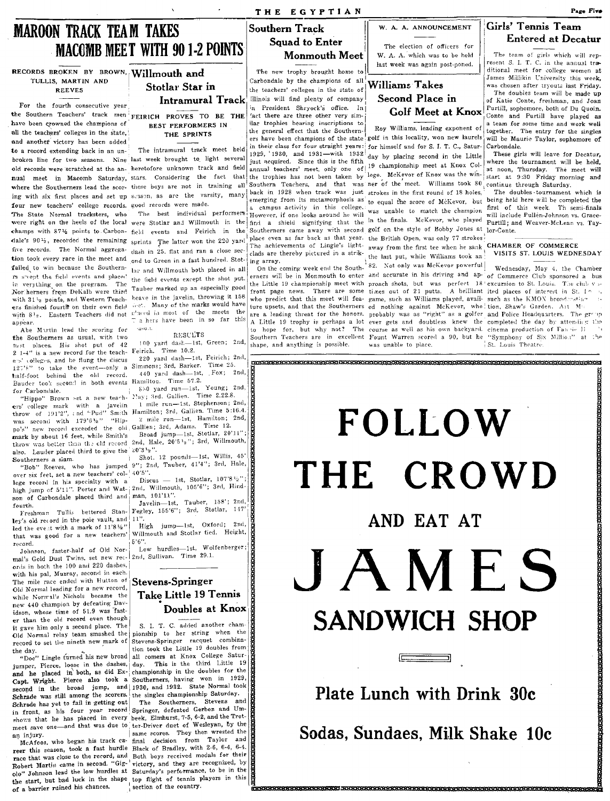## **MAROON TRACK TEAM TAKES MACOMB MEET WITH 90 1-2 POINTS**

RECORDS BROKEN BY BROWN, Willmouth and TULLIS, MARTIN AND **REEVES** 

For the fourth consecutive year the Southern Teachers' track men FEIRICH PROVES TO BE THE have been crowned the champions of all the teachers' colleges in the state. and another victory has been added to a record extending back in an unbroken line for two seasons. Nine last week brought to light several old records were scratched at the an- heretofore unknown track and field nual meet in Macomb Saturday, stars. Considering the fact that ing with six first places and set up season, as are the varsity, many four new teachers' college records. good records were made. The State Normal tracksters, who champs with 871/2 points to Carbon- field events and Feirich in the dale's 9012, recorded the remaining sprints The latter won the 220 yard five records. The Normal aggrega- dash in 25, flat and ran a close section took every race in the meet and ond to Green in a fast hundred. Stotfailed to win because the Southern- lar and Willmouth both placed in all is svept the field events and placed in verything on the program. The Nor herners from DeKalb were third with 31'2 points, and Western Teach- heave in the javelin, throwing it 158 ers finished fourth on their own field with 812. Eastern Teachers did not allocal in most of the meets the appear.

Abe Martin lead the scoring for the Southerners as usual, with two tust places. His shot put of 42 is a new record for the teach- Feirich. Time 10.2.  $2 \t1 - 4$ ens' colleges, and he flung the discus 127'8" to take the event-only a Simmons; 3rd, Barker. Time 25. half-foot behind the old record.<br>Bauder took second in both events for Carbondale.

ers' college mark with a javelin 1 mile run-1st, Stephenson; 2nd,<br>throw of 191'2", and "Pud" Smith Hamilton; 3rd, Gallien. Time 5:16.4. was second with  $179'6\frac{1}{2}$ " "Hippo's" new record exceeded the old Gallien; 3rd, Adams. Time 12. mark by about 16 feet, while Smith's throw was better than the old record 2nd, Hale, 20'5'2"; 3rd, Willmouth, also. Lauder placed third to give the 20'3'2". Southerners a slam

over six feet, set a new teachers' col- 40'5". lege record in his specialty with a Discus - 1st, Stotlar,  $107'8^{1/2}$ ";<br>high jump of 5'11". Porter and Wat- $\lfloor$ 2nd, Willmouth,  $105'6''$ ; 3rd, Hindson of Carbondale placed third and fourth.

Freshman Tullis bettered Stanley's old record in the pole vault, and 11 led the event with a mark of  $11'8\frac{1}{2}$ " that was good for a new teachers' record.

Johnson, faster-half of Old Nor-<br>mal's Gold Dust Twins, set new rec- 2nd, Sullivan. Time 29.1. ords in both the 100 and 220 dashes, with his pal, Murray, second in each. The mile race ended with Hutton of Old Normal leading for a new record,<br>while Normal's Nichols became the new 440 champion by defeating Davidson, whose time of 51.9 was faster than the old record even though it gave him only a second place. The Old Normal relay team smashed the record to set the nineth new mark of

jumper, Pierce, loose in the dashes, day. and he placed in both, as did Ex- championship in the doubles for the Capt. Wright. Pierce also took a Southerners, having won in 1929, second in the broad jump, and 1930, and 1932. State Normal took Schrade was still among the scorers the singles championship Saturday. Schrade has yet to fail in getting out in front, as his four year record Springer, defeated Gerben and Umshows that he has placed in every beek, Elmhurst, 7-5, 6-2, and the Trotmeet save one-and that was due to ter-Driver duet of Wesleyan, by the an injury.

reer this season, took a fast hurdle Black of Bradley, with 2-6, 6-4, 6-4. race that was close to the record, and Both boys received medals for their Robert Martin came in second. "Gig-<sup>1</sup> victory, and they are recognized, by olo" Johnson lead the low hurdles at Saturday's performance, to be in the of the start, but bad luck in the shape top flight of tennis players in this the start, but bad luck in the shape top flight of the country. of a barrier ruined his chances.

# Stotlar Star in

BEST PERFORMERS IN THE SPRINTS

The intramural track meet held

The best individual performers the field events except the shot put. Tauber marked up an especially good icet. Many of the marks would have a hers have been in so far this aso.).

RESULTS

100 yard dash-1st, Green; 2nd,

220 yard dash-1st, Feirich; 2nd 440 yard dash-ist, Fox; 2nd, Hamilton. Time 57.2.

880 yard run-1st, Young; 2nd, "Hippo" Brown set a new teach. May; 3rd. Gallien. Time 2.22.8.

2 mile run-1st, Hamilton; 2nd,

Broad jump-1st, Stotlar, 20'11"; Shot. 12 pounds-1st, Willis, 45'

"Bob" Reeves, who has jumped 9"; 2nd, Tauber, 41'4"; 3rd, Hale,

man, 101'11".

Javelin-1st, Tauber, 158'; 2nd,<br>Fegley, 155'6"; 3rd, Stotlar, 147'

jump-1st, Oxford; 2nd, High Willmouth and Stotlar tied. Height,  $5'6''$ .

## **Stevens-Springer** Take Little 19 Tennis Doubles at Knox

S. I. T. C. added another championship to her string when the Stevens-Springer racquet combination took the Little 19 doubles from the day. <br>
tion took the Little 19 doubles from<br>
"Doc" Lingle furned his new broad all comers at Knox College Satur-This is the third Little 19

The Southerners, Stevens and same scores. They then wrested the McAfoos, who began his track ca- final decision from Taylor and

## W. A. A. ANNOUNCEMENT

The election of officers for W. A. A. which was to be held last week was again post-poned.

## **Williams Takes** Second Place in **Golf Meet at Knox**

Roy Williams, leading exponent of ers have been champions of the state golf in this locality, won new laurels in their class for four straight years: for himself and for S. I. T. C., Saturday by placing second in the Little annual teachers' meet, only one of 19 championship meet at Knox Colthe trophies has not been taken by lege. McKevor of Knox was the win-<br>the trophies has not been taken by lege. McKevor of Knox was the win-<br>start at 9:30 Friday morning and where the Southerners lead the scor- these boys are not in training all Southern Teachers, and that was ner of the meet. Williams took  $80^{\circ}$  continue through Saturday. back in 1928 when track was just strokes in the first round of 18 holes, emerging from its metamorphosis as to equal the score of McKevor, but being held here will be completed the was unable to match the champion first of this week. Th semi-finals were right on the heels of the local were Stotlar and Willmouth in the find a shield signifying that the in the finals. McKevor, who played Purtill; and Weaver-McLean ys. Tay-Southerners came away with second golf on the style of Bobby Jones at lor-Conte. place even as far back as that year. the British Open, was only 77 strokes The achievements of Lingle's light- away from the first tee when he sank CHAMBER OF COMMERCE the last put, while Williams took an

> 82. Not only was McKevor powerful On the coming week end the South- 82. Not only was McKevor powerful | Wednesday, May 4, the Chamber<br>erners will be in Monmouth to enter and accurate in his driving and ap- of Commerce Club sponsored a bus the Little 19 championship meet with proach shots, but was perfect 18 excursion to St. Louis. The club v sfront page news. There are some times out of 21 putts. A brilliant ited places of interest in St. In who predict that this meet will fea- game, such as Williams played, avail- such as the KMON broadcasting ture upsets, and that the Southerners ed nothing against McKevor, who tion, Shaw's Garden. Alt Missing threat for the honors, probably was as "right" as a golfer and Police Headquarters. The group A Little 19 trophy is perhaps a lot ever gets and doubtless knew the completed the day by attending the to hope for, but why not? The course as well as his own backyard, cinema production of Fan in H Southern Teachers are in excellent Fount Warren scored a 90, but he was unable to place.

resent S. I. T. C. in the annual traditional meet for college women at James Millikin University this week, was chosen after tryouts last Friday. The doubles team will be made up

The team of girls which will rep-

**Entered at Decatur** 

Girls' Tennis Team

of Katie Conte. freshman, and Joan Purtill, sophomore, both of Du Quoin. Conte and Purtill have played as a team for some time and work well together. The entry for the singles will be Maurie Taylor, sophomore of Carbondale.

These girls will leave for Decatur. where the tournament will be held, at noon, Thursday. The meet will

The doubles tournament which is

## VISITS ST. LOUIS WEDNESDAY

"Symphony of Six Million" at the St. Louis Theatre.

# FOLLOW THE CROWD AND EAT AT JAMES **SANDWICH SHOP**  $\Box$

## Plate Lunch with Drink 30c

Sodas, Sundaes, Milk Shake 10c

<u> 1999 - 1999 - 1999 - 1999 - 1999 - 1999 - 1999 - 1999 - 1999 - 1999 - 1999 - 1999 - 1999 - 1999 - 1999 - 199</u>

## THE EGYPTIAN

## **Southern Track Squad to Enter** Monmouth Meet

The new trophy brought home to Carbondale by the champions of all the teachers' colleges in the state of Illinois will find plenty of company n President Shryock's office. In fact there are three other very similar trophies bearing inscriptions to the general effect that the Southern-1929, '1930, and 1931—with 1932<br>just acquired. Since this is the fifth a campus activity in this college. However, if one looks around he will clads are thereby pictured in a strik-

ing array. On the coming week end the Southshape, and anything is possible.

Intramural Track